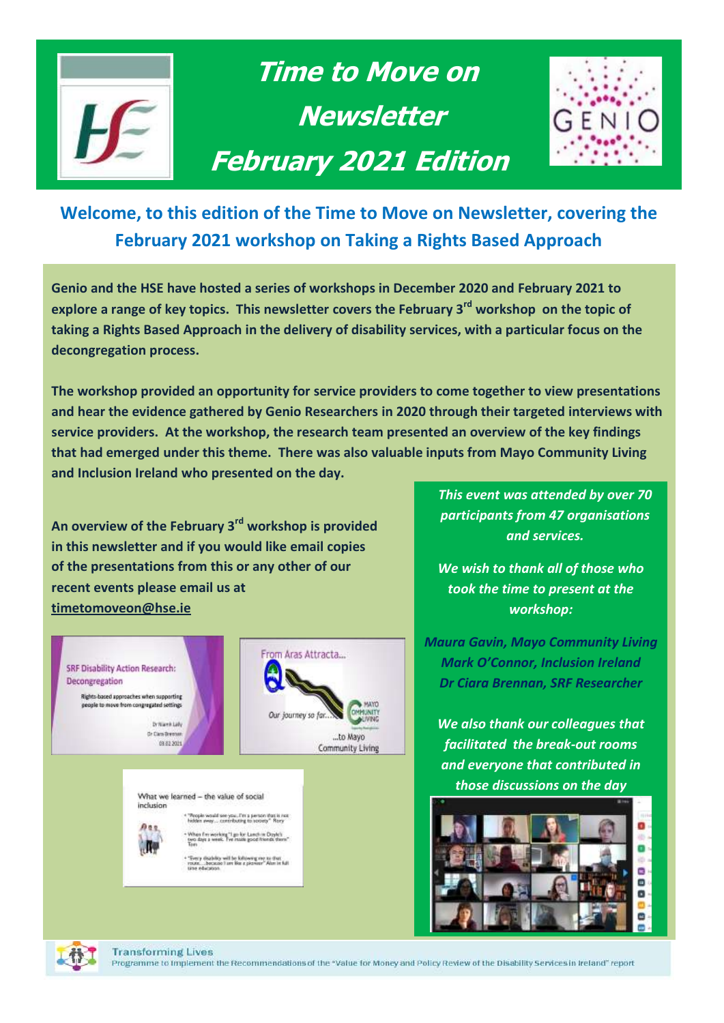

# **Time to Move on Newsletter February 2021 Edition**



# **Welcome, to this edition of the Time to Move on Newsletter, covering the February 2021 workshop on Taking a Rights Based Approach**

**Genio and the HSE have hosted a series of workshops in December 2020 and February 2021 to explore a range of key topics. This newsletter covers the February 3 rd workshop on the topic of taking a Rights Based Approach in the delivery of disability services, with a particular focus on the decongregation process.** 

**The workshop provided an opportunity for service providers to come together to view presentations and hear the evidence gathered by Genio Researchers in 2020 through their targeted interviews with service providers. At the workshop, the research team presented an overview of the key findings that had emerged under this theme. There was also valuable inputs from Mayo Community Living and Inclusion Ireland who presented on the day.** 

**An overview of the February 3rd workshop is provided in this newsletter and if you would like email copies of the presentations from this or any other of our recent events please email us at [timetomoveon@hse.ie](mailto:timetomoveon@hse.ie)**



*This event was attended by over 70 participants from 47 organisations and services.*

*We wish to thank all of those who took the time to present at the workshop:*

*Inclusion Ireland Maura Gavin, Mayo Community Living Mark O'Connor, Inclusion Ireland Dr Ciara Brennan, SRF Researcher*

*Presentation We also thank our colleagues that facilitated the break-out rooms and everyone that contributed in those discussions on the day*



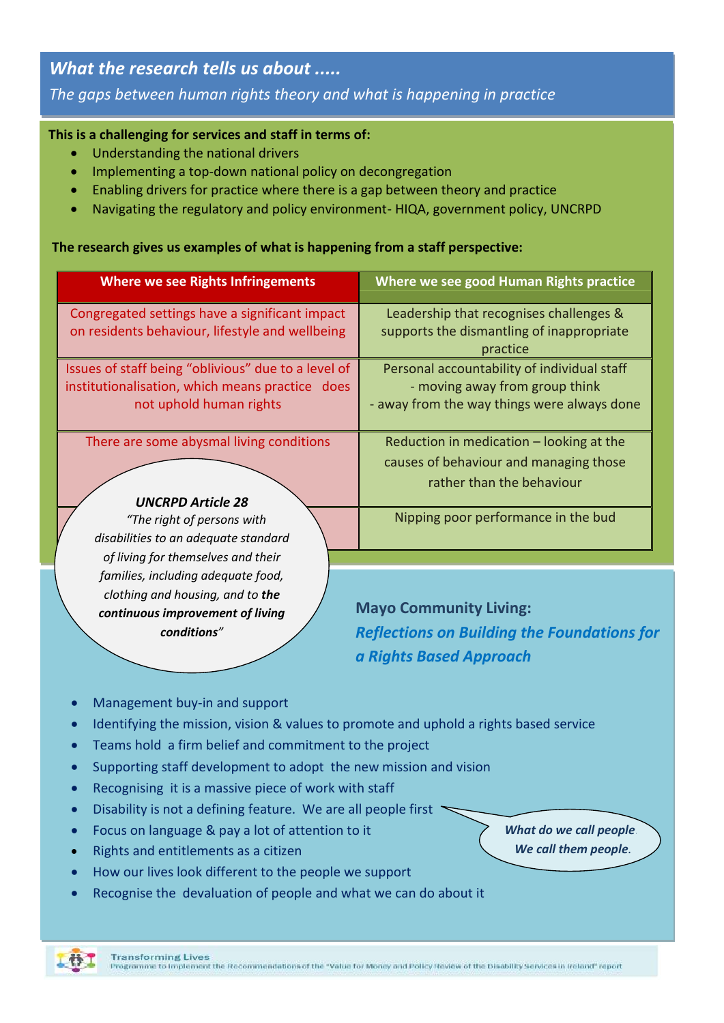## *What the research tells us about .....*

*The gaps between human rights theory and what is happening in practice*

## **This is a challenging for services and staff in terms of: congregated settings to the community**

- **Explore the Understanding the national drivers** and the role that staff play in developing a right staff play in developing a right staff play in developing approach to service provision of the service provision of the se
	- Implementing a top-down national policy on decongregation
	- Enabling drivers for practice where there is a gap between theory and practice
	- Navigating the regulatory and policy environment- HIQA, government policy, UNCRPD

**Consider what rights-based approaches are being taken when supporting people to move from** 

#### **The research gives us examples of what is happening from a staff perspective:**

| <b>Where we see Rights Infringements</b>                                                                                                        | Where we see good Human Rights practice                                                                                      |
|-------------------------------------------------------------------------------------------------------------------------------------------------|------------------------------------------------------------------------------------------------------------------------------|
| Congregated settings have a significant impact<br>on residents behaviour, lifestyle and wellbeing                                               | Leadership that recognises challenges &<br>supports the dismantling of inappropriate<br>practice                             |
| Issues of staff being "oblivious" due to a level of<br>institutionalisation, which means practice does<br>not uphold human rights               | Personal accountability of individual staff<br>- moving away from group think<br>- away from the way things were always done |
| There are some abysmal living conditions<br><b>UNCRPD Article 28</b>                                                                            | Reduction in medication - looking at the<br>causes of behaviour and managing those<br>rather than the behaviour              |
| "The right of persons with<br>disabilities to an adequate standard<br>of living for themselves and their                                        | Nipping poor performance in the bud                                                                                          |
| families, including adequate food,<br>clothing and housing, and to the<br>continuous improvement of living<br>conditions"                       | <b>Mayo Community Living:</b><br><b>Reflections on Building the Foundations for</b>                                          |
| Management buy-in and support                                                                                                                   | a Rights Based Approach                                                                                                      |
| Identifying the mission, vision & values to promote and uphold a rights based service<br>Teams hold a firm belief and commitment to the project |                                                                                                                              |

- Supporting staff development to adopt the new mission and vision
- Recognising it is a massive piece of work with staff
- **•** Disability is not a defining feature. We are all people first
- **•** Focus on language & pay a lot of attention to it
- Rights and entitlements as a citizen
- How our lives look different to the people we support
- Recognise the devaluation of people and what we can do about it

*What do we call people? We call them people.*



rogramme to implement the Recommendations of the "Value for Money and Policy Review of the Disability Services in Ireland" report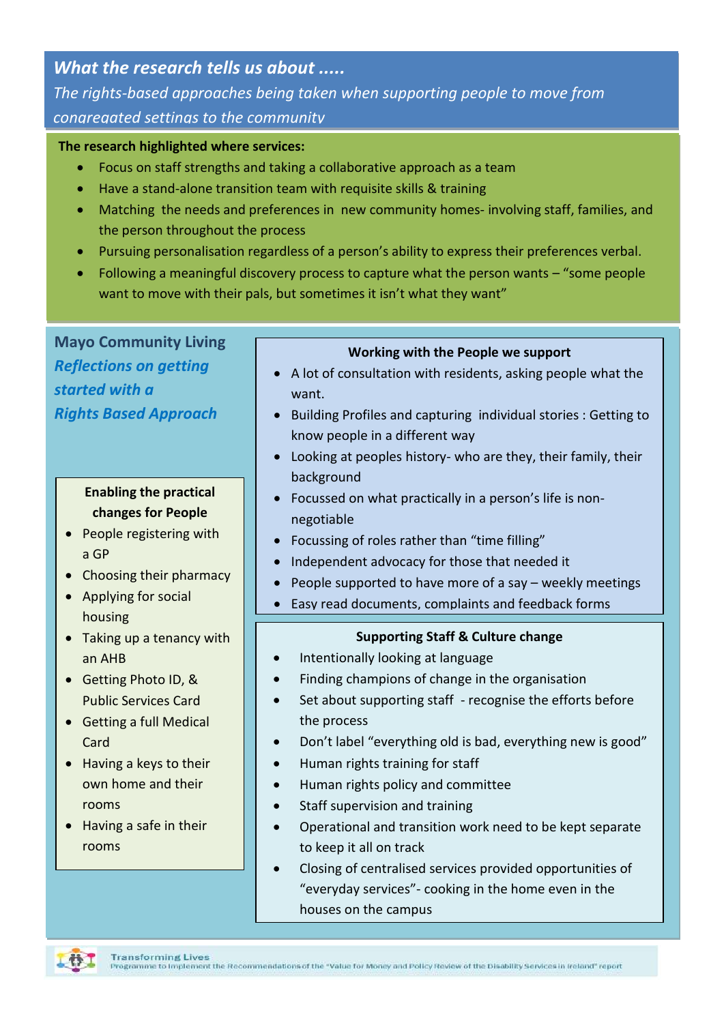## *What the research tells us about .....*

*The rights-based approaches being taken when supporting people to move from congregated settings to the community* 

#### **The research highlighted where services:**

- Focus on staff strengths and taking a collaborative approach as a team
- Have a stand-alone transition team with requisite skills & training
- Matching the needs and preferences in new community homes- involving staff, families, and the person throughout the process
- Pursuing personalisation regardless of a person's ability to express their preferences verbal.
- Following a meaningful discovery process to capture what the person wants "some people want to move with their pals, but sometimes it isn't what they want"

**Mayo Community Living** *Reflections on getting started with a Rights Based Approach*

#### **Enabling the practical changes for People**

- People registering with a GP
- Choosing their pharmacy
- Applying for social housing
- Taking up a tenancy with an AHB
- Getting Photo ID, & Public Services Card
- Getting a full Medical Card
- Having a keys to their own home and their rooms
- Having a safe in their rooms

#### **Working with the People we support**

- A lot of consultation with residents, asking people what the want.
- Building Profiles and capturing individual stories : Getting to know people in a different way
- Looking at peoples history- who are they, their family, their background
- Focussed on what practically in a person's life is nonnegotiable
- Focussing of roles rather than "time filling"
- Independent advocacy for those that needed it
- People supported to have more of a say weekly meetings
- Easy read documents, complaints and feedback forms

#### **Supporting Staff & Culture change**

- Intentionally looking at language
- Finding champions of change in the organisation
- Set about supporting staff recognise the efforts before the process
- Don't label "everything old is bad, everything new is good"
- Human rights training for staff
- Human rights policy and committee
- Staff supervision and training
- Operational and transition work need to be kept separate to keep it all on track
- Closing of centralised services provided opportunities of "everyday services"- cooking in the home even in the houses on the campus

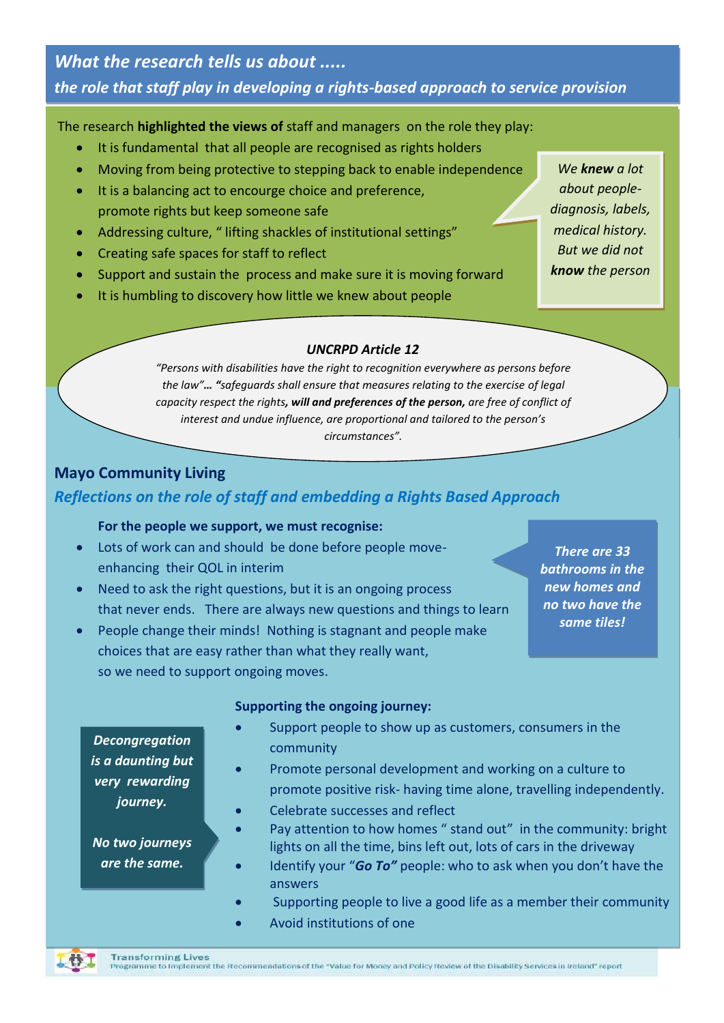*What the research tells us about ..... the role that staff play in developing a rights-based approach to service provision*

The research **highlighted the views of** staff and managers on the role they play:

- It is fundamental that all people are recognised as rights holders
- Moving from being protective to stepping back to enable independence
- It is a balancing act to encourge choice and preference, promote rights but keep someone safe
- Addressing culture, " lifting shackles of institutional settings"
- Creating safe spaces for staff to reflect
- Support and sustain the process and make sure it is moving forward
- It is humbling to discovery how little we knew about people

*We knew a lot about peoplediagnosis, labels, medical history. But we did not know the person*

#### *UNCRPD Article 12*

*"Persons with disabilities have the right to recognition everywhere as persons before the law"… "safeguards shall ensure that measures relating to the exercise of legal capacity respect the rights, will and preferences of the person, are free of conflict of interest and undue influence, are proportional and tailored to the person's circumstances".*

#### **Mayo Community Living**

#### *Reflections on the role of staff and embedding a Rights Based Approach*

#### **For the people we support, we must recognise:**

- Lots of work can and should be done before people moveenhancing their QOL in interim
- Need to ask the right questions, but it is an ongoing process that never ends. There are always new questions and things to learn
- People change their minds! Nothing is stagnant and people make choices that are easy rather than what they really want, so we need to support ongoing moves.

*There are 33 bathrooms in the new homes and no two have the same tiles!*

#### **Supporting the ongoing journey:**

- Support people to show up as customers, consumers in the community
- Promote personal development and working on a culture to promote positive risk- having time alone, travelling independently.
- Celebrate successes and reflect
- Pay attention to how homes " stand out" in the community: bright lights on all the time, bins left out, lots of cars in the driveway
- Identify your "*Go To"* people: who to ask when you don't have the answers
- Supporting people to live a good life as a member their community
- Avoid institutions of one

*Decongregation is a daunting but very rewarding journey.*

*No two journeys are the same.*